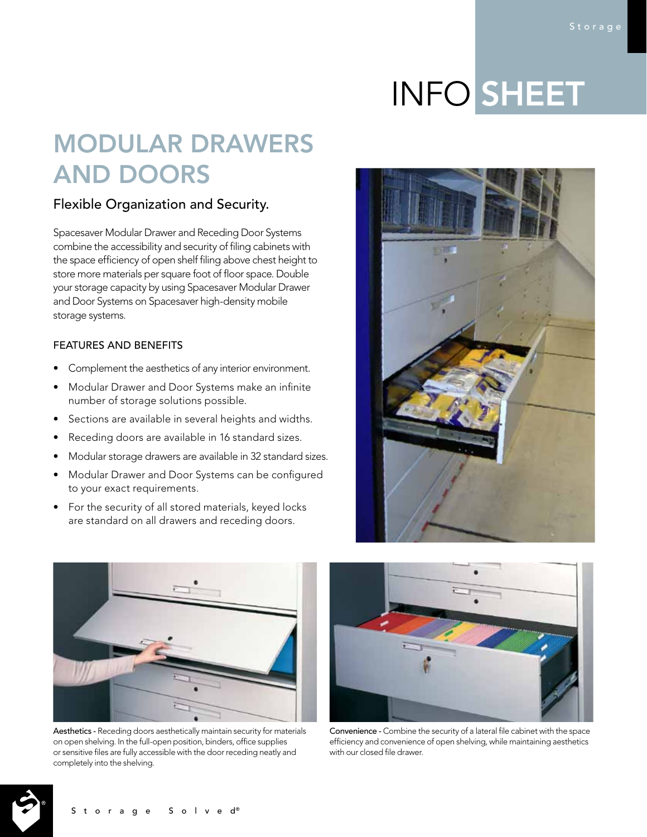# INFO SHEET

## MODULAR DRAWERS AND DOORS

### Flexible Organization and Security.

Spacesaver Modular Drawer and Receding Door Systems combine the accessibility and security of filing cabinets with the space efficiency of open shelf filing above chest height to store more materials per square foot of floor space. Double your storage capacity by using Spacesaver Modular Drawer and Door Systems on Spacesaver high-density mobile storage systems.

#### FEATURES AND BENEFITS

- Complement the aesthetics of any interior environment.
- Modular Drawer and Door Systems make an infinite number of storage solutions possible.
- Sections are available in several heights and widths.
- Receding doors are available in 16 standard sizes.
- Modular storage drawers are available in 32 standard sizes.
- Modular Drawer and Door Systems can be configured to your exact requirements.
- For the security of all stored materials, keyed locks are standard on all drawers and receding doors.



Aesthetics - Receding doors aesthetically maintain security for materials on open shelving. In the full-open position, binders, office supplies or sensitive files are fully accessible with the door receding neatly and completely into the shelving.



Convenience - Combine the security of a lateral file cabinet with the space efficiency and convenience of open shelving, while maintaining aesthetics with our closed file drawer.



Storage Solved®